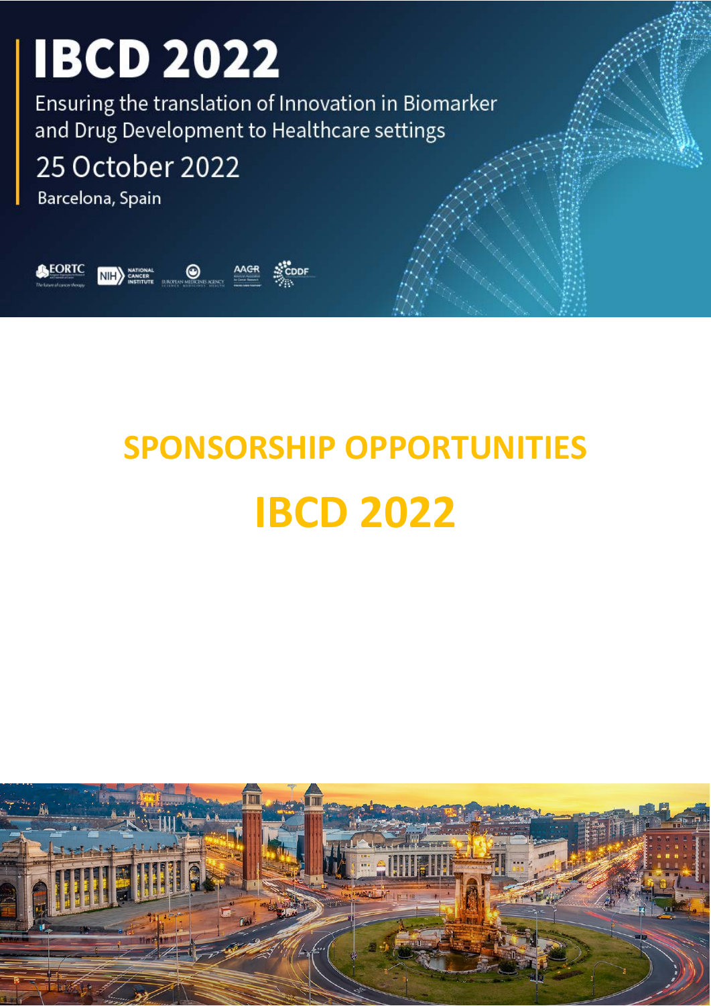Ensuring the translation of Innovation in Biomarker and Drug Development to Healthcare settings

25 October 2022

Barcelona, Spain



# **SPONSORSHIP OPPORTUNITIES IBCD 2022**

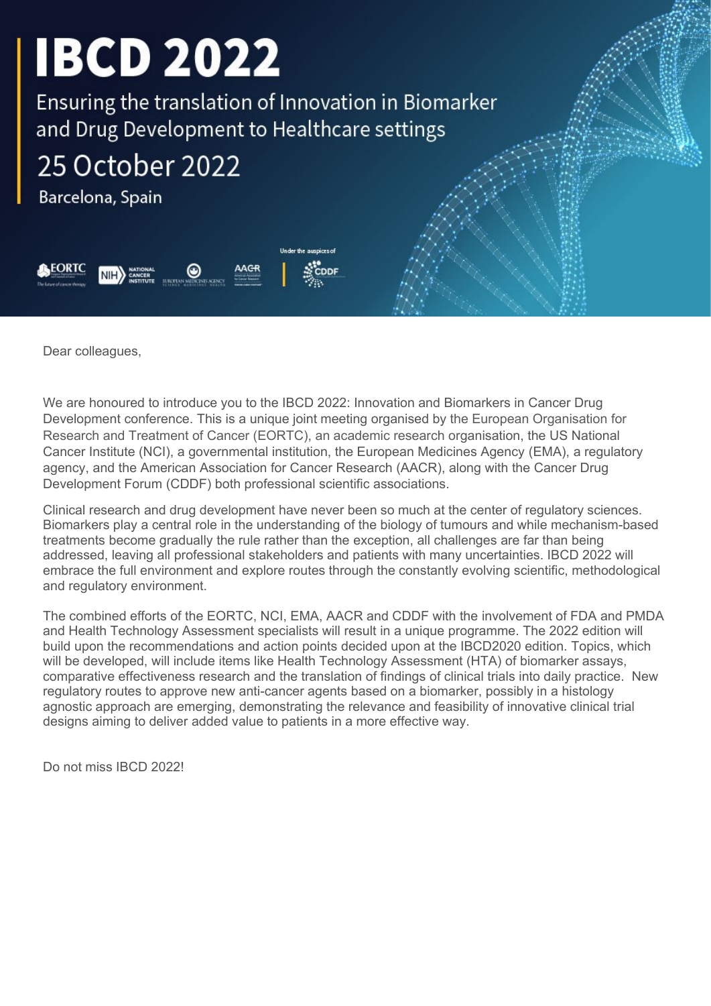Ensuring the translation of Innovation in Biomarker and Drug Development to Healthcare settings

25 October 2022

Barcelona, Spain



Dear colleagues,

We are honoured to introduce you to the IBCD 2022: Innovation and Biomarkers in Cancer Drug Development conference. This is a unique joint meeting organised by [the European Organisation for](http://events.eortc.org/) Research and [Treatment of Cancer \(EORTC\),](http://events.eortc.org/) an academic research organisation, the US National Cancer Institute (NCI), a governmental institution, the European Medicines Agency (EMA), a regulatory agency, and the American Association for Cancer Research (AACR), along with the Cancer Drug Development Forum (CDDF) both professional scientific associations.

Clinical research and drug development have never been so much at the center of regulatory sciences. Biomarkers play a central role in the understanding of the biology of tumours and while mechanism-based treatments become gradually the rule rather than the exception, all challenges are far than being addressed, leaving all professional stakeholders and patients with many uncertainties. IBCD 2022 will embrace the full environment and explore routes through the constantly evolving scientific, methodological and regulatory environment.

The combined efforts of the EORTC, NCI, EMA, AACR and CDDF with the involvement of FDA and PMDA and Health Technology Assessment specialists will result in a unique programme. The 2022 edition will build upon the recommendations and action points decided upon at the IBCD2020 edition. Topics, which will be developed, will include items like Health Technology Assessment (HTA) of biomarker assays, comparative effectiveness research and the translation of findings of clinical trials into daily practice. New regulatory routes to approve new anti-cancer agents based on a biomarker, possibly in a histology agnostic approach are emerging, demonstrating the relevance and feasibility of innovative clinical trial designs aiming to deliver added value to patients in a more effective way.

Do not miss IBCD 2022!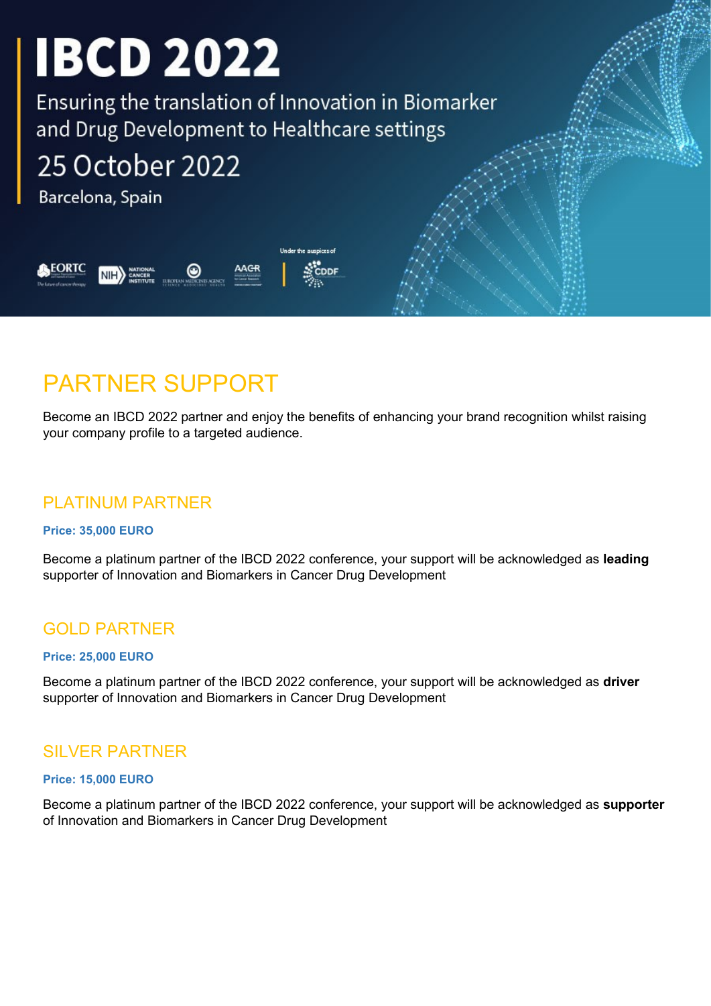Ensuring the translation of Innovation in Biomarker and Drug Development to Healthcare settings

Under the auspices of

# 25 October 2022

Barcelona, Spain



## PARTNER SUPPORT

Become an IBCD 2022 partner and enjoy the benefits of enhancing your brand recognition whilst raising your company profile to a targeted audience.

## PLATINUM PARTNER

### **Price: 35,000 EURO**

Become a platinum partner of the IBCD 2022 conference, your support will be acknowledged as **leading**  supporter of Innovation and Biomarkers in Cancer Drug Development

## GOLD PARTNER

#### **Price: 25,000 EURO**

Become a platinum partner of the IBCD 2022 conference, your support will be acknowledged as **driver** supporter of Innovation and Biomarkers in Cancer Drug Development

## SILVER PARTNER

#### **Price: 15,000 EURO**

Become a platinum partner of the IBCD 2022 conference, your support will be acknowledged as **supporter** of Innovation and Biomarkers in Cancer Drug Development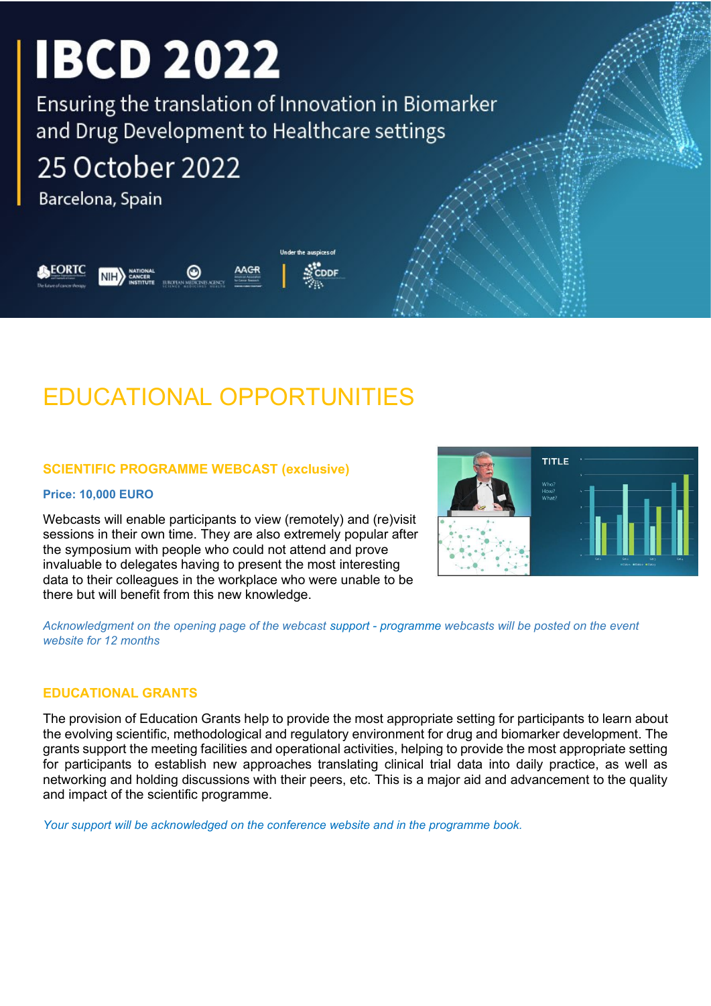Ensuring the translation of Innovation in Biomarker and Drug Development to Healthcare settings

Under the auspices of

# 25 October 2022

Barcelona, Spain

FORTO

## EDUCATIONAL OPPORTUNITIES

### **SCIENTIFIC PROGRAMME WEBCAST (exclusive)**

#### **Price: 10,000 EURO**

Webcasts will enable participants to view (remotely) and (re)visit sessions in their own time. They are also extremely popular after the symposium with people who could not attend and prove invaluable to delegates having to present the most interesting data to their colleagues in the workplace who were unable to be there but will benefit from this new knowledge.



*Acknowledgment on the opening page of the webcast support - programme webcasts will be posted on the event website for 12 months*

#### **EDUCATIONAL GRANTS**

The provision of Education Grants help to provide the most appropriate setting for participants to learn about the evolving scientific, methodological and regulatory environment for drug and biomarker development. The grants support the meeting facilities and operational activities, helping to provide the most appropriate setting for participants to establish new approaches translating clinical trial data into daily practice, as well as networking and holding discussions with their peers, etc. This is a major aid and advancement to the quality and impact of the scientific programme.

*Your support will be acknowledged on the conference website and in the programme book.*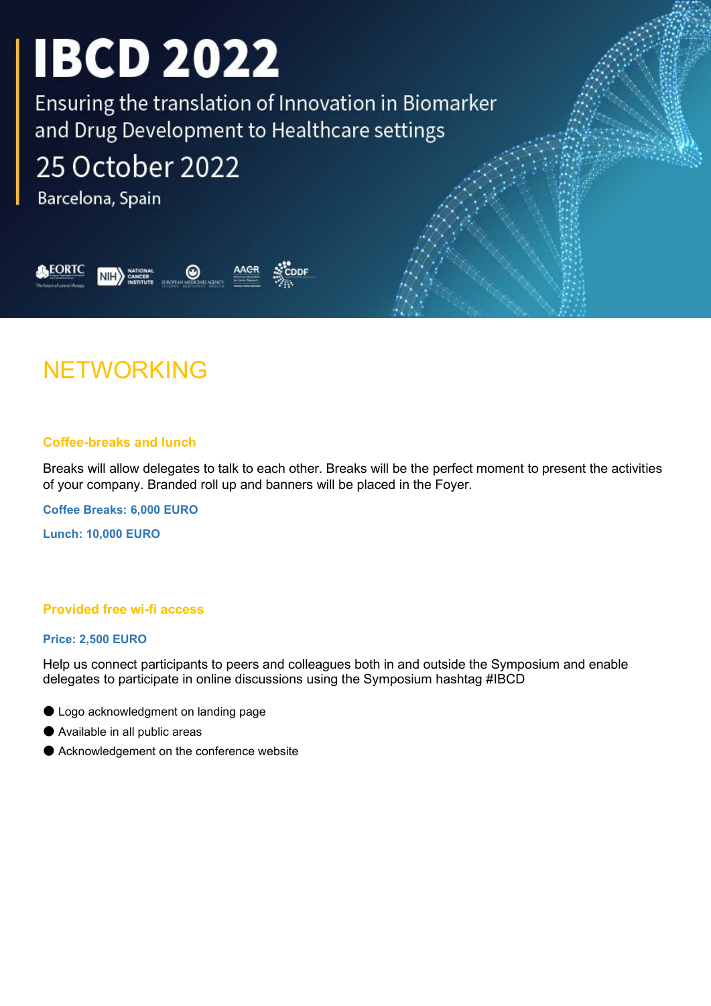Ensuring the translation of Innovation in Biomarker and Drug Development to Healthcare settings

# 25 October 2022

Barcelona, Spain

**EORTC** 



## NETWORKING

### **Coffee-breaks and lunch**

Breaks will allow delegates to talk to each other. Breaks will be the perfect moment to present the activities of your company. Branded roll up and banners will be placed in the Foyer.

**Coffee Breaks: 6,000 EURO**

**Lunch: 10,000 EURO**

### **Provided free wi-fi access**

#### **Price: 2,500 EURO**

Help us connect participants to peers and colleagues both in and outside the Symposium and enable delegates to participate in online discussions using the Symposium hashtag #IBCD

- Logo acknowledgment on landing page
- Available in all public areas
- Acknowledgement on the conference website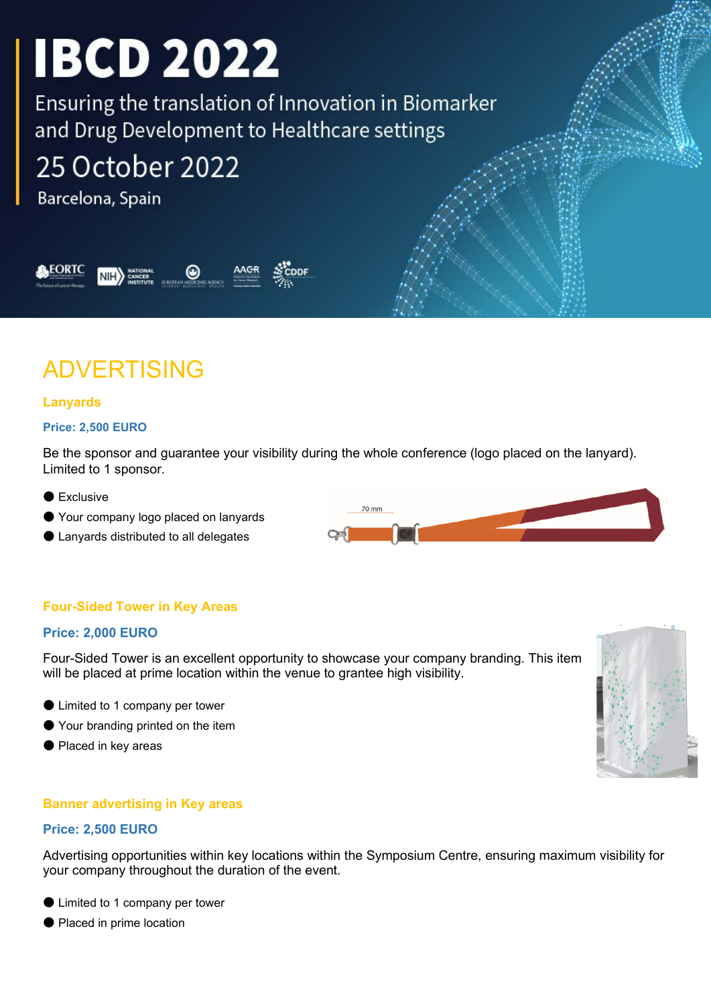Ensuring the translation of Innovation in Biomarker and Drug Development to Healthcare settings

# 25 October 2022

Barcelona, Spain



# ADVERTISING

## **Lanyards**

#### **Price: 2,500 EURO**

Be the sponsor and guarantee your visibility during the whole conference (logo placed on the lanyard). Limited to 1 sponsor.

- Exclusive
- Your company logo placed on lanyards
- Lanyards distributed to all delegates

## **Four-Sided Tower in Key Areas**

### **Price: 2,000 EURO**

Four-Sided Tower is an excellent opportunity to showcase your company branding. This item will be placed at prime location within the venue to grantee high visibility.

- Limited to 1 company per tower
- Your branding printed on the item
- Placed in key areas

### **Banner advertising in Key areas**

#### **Price: 2,500 EURO**

Advertising opportunities within key locations within the Symposium Centre, ensuring maximum visibility for your company throughout the duration of the event.

- Limited to 1 company per tower
- Placed in prime location